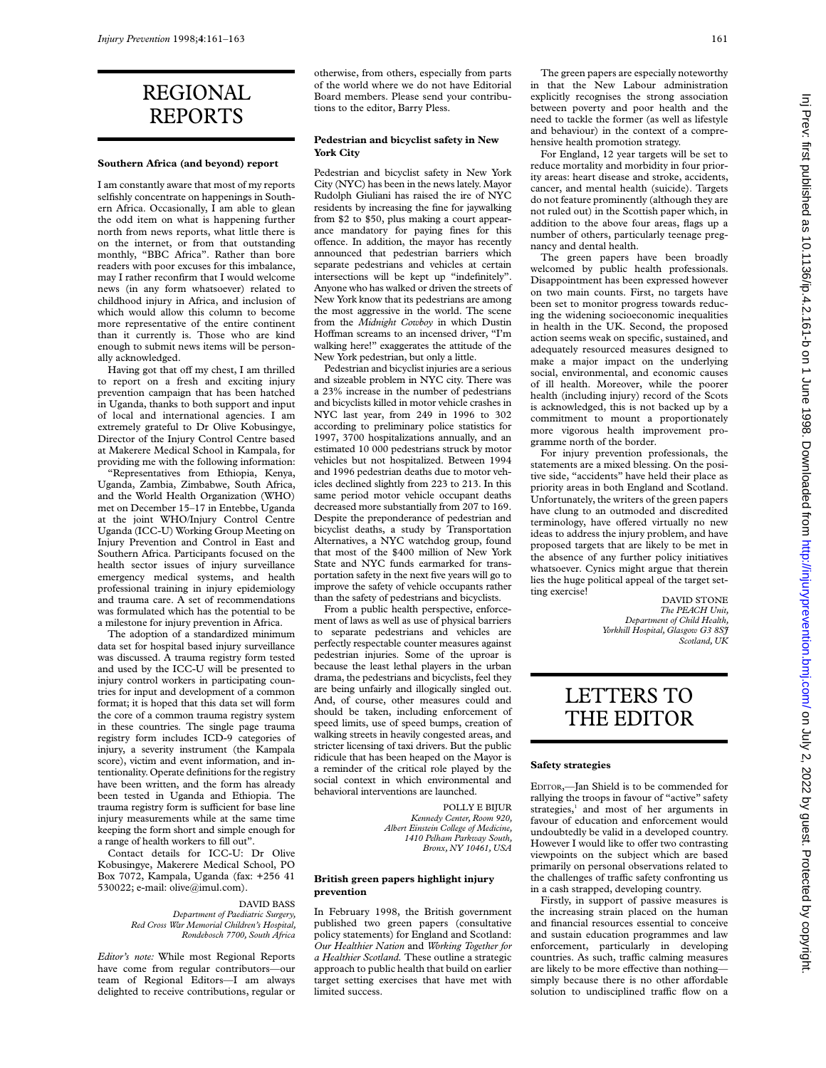# REGIONAL REPORTS

#### **Southern Africa (and beyond) report**

I am constantly aware that most of my reports selfishly concentrate on happenings in Southern Africa. Occasionally, I am able to glean the odd item on what is happening further north from news reports, what little there is on the internet, or from that outstanding monthly, "BBC Africa". Rather than bore readers with poor excuses for this imbalance, may I rather reconfirm that I would welcome news (in any form whatsoever) related to childhood injury in Africa, and inclusion of which would allow this column to become more representative of the entire continent than it currently is. Those who are kind enough to submit news items will be personally acknowledged.

Having got that off my chest, I am thrilled to report on a fresh and exciting injury prevention campaign that has been hatched in Uganda, thanks to both support and input of local and international agencies. I am extremely grateful to Dr Olive Kobusingye, Director of the Injury Control Centre based at Makerere Medical School in Kampala, for providing me with the following information:

"Representatives from Ethiopia, Kenya, Uganda, Zambia, Zimbabwe, South Africa, and the World Health Organization (WHO) met on December 15–17 in Entebbe, Uganda at the joint WHO/Injury Control Centre Uganda (ICC-U) Working Group Meeting on Injury Prevention and Control in East and Southern Africa. Participants focused on the health sector issues of injury surveillance emergency medical systems, and health professional training in injury epidemiology and trauma care. A set of recommendations was formulated which has the potential to be a milestone for injury prevention in Africa.

The adoption of a standardized minimum data set for hospital based injury surveillance was discussed. A trauma registry form tested and used by the ICC-U will be presented to injury control workers in participating countries for input and development of a common format; it is hoped that this data set will form the core of a common trauma registry system in these countries. The single page trauma registry form includes ICD-9 categories of injury, a severity instrument (the Kampala score), victim and event information, and intentionality. Operate definitions for the registry have been written, and the form has already been tested in Uganda and Ethiopia. The trauma registry form is sufficient for base line injury measurements while at the same time keeping the form short and simple enough for a range of health workers to fill out".

Contact details for ICC-U: Dr Olive Kobusingye, Makerere Medical School, PO Box 7072, Kampala, Uganda (fax: +256 41 530022; e-mail: olive@imul.com).

#### DAVID BASS *Department of Paediatric Surgery, Red Cross War Memorial Children's Hospital, Rondebosch 7700, South Africa*

*Editor's note:* While most Regional Reports have come from regular contributors—our team of Regional Editors—I am always

delighted to receive contributions, regular or

otherwise, from others, especially from parts of the world where we do not have Editorial Board members. Please send your contributions to the editor, Barry Pless.

### **Pedestrian and bicyclist safety in New York City**

Pedestrian and bicyclist safety in New York City (NYC) has been in the news lately.Mayor Rudolph Giuliani has raised the ire of NYC residents by increasing the fine for jaywalking from \$2 to \$50, plus making a court appearance mandatory for paying fines for this offence. In addition, the mayor has recently announced that pedestrian barriers which separate pedestrians and vehicles at certain intersections will be kept up "indefinitely". Anyone who has walked or driven the streets of New York know that its pedestrians are among the most aggressive in the world. The scene from the *Midnight Cowboy* in which Dustin Hoffman screams to an incensed driver, "I'm walking here!" exaggerates the attitude of the New York pedestrian, but only a little.

Pedestrian and bicyclist injuries are a serious and sizeable problem in NYC city. There was a 23% increase in the number of pedestrians and bicyclists killed in motor vehicle crashes in NYC last year, from 249 in 1996 to 302 according to preliminary police statistics for 1997, 3700 hospitalizations annually, and an estimated 10 000 pedestrians struck by motor vehicles but not hospitalized. Between 1994 and 1996 pedestrian deaths due to motor vehicles declined slightly from 223 to 213. In this same period motor vehicle occupant deaths decreased more substantially from 207 to 169. Despite the preponderance of pedestrian and bicyclist deaths, a study by Transportation Alternatives, a NYC watchdog group, found that most of the \$400 million of New York State and NYC funds earmarked for transportation safety in the next five years will go to improve the safety of vehicle occupants rather than the safety of pedestrians and bicyclists.

From a public health perspective, enforcement of laws as well as use of physical barriers to separate pedestrians and vehicles are perfectly respectable counter measures against pedestrian injuries. Some of the uproar is because the least lethal players in the urban drama, the pedestrians and bicyclists, feel they are being unfairly and illogically singled out. And, of course, other measures could and should be taken, including enforcement of speed limits, use of speed bumps, creation of walking streets in heavily congested areas, and stricter licensing of taxi drivers. But the public ridicule that has been heaped on the Mayor is a reminder of the critical role played by the social context in which environmental and behavioral interventions are launched.

> POLLY E BIJUR *Kennedy Center, Room 920, Albert Einstein College of Medicine, 1410 Pelham Parkway South, Bronx, NY 10461, USA*

#### **British green papers highlight injury prevention**

In February 1998, the British government published two green papers (consultative policy statements) for England and Scotland: *Our Healthier Nation* and *Working Together for a Healthier Scotland.* These outline a strategic approach to public health that build on earlier target setting exercises that have met with limited success.

The green papers are especially noteworthy in that the New Labour administration explicitly recognises the strong association between poverty and poor health and the need to tackle the former (as well as lifestyle and behaviour) in the context of a comprehensive health promotion strategy.

For England, 12 year targets will be set to reduce mortality and morbidity in four priority areas: heart disease and stroke, accidents, cancer, and mental health (suicide). Targets do not feature prominently (although they are not ruled out) in the Scottish paper which, in addition to the above four areas, flags up a number of others, particularly teenage pregnancy and dental health.

The green papers have been broadly welcomed by public health professionals. Disappointment has been expressed however on two main counts. First, no targets have been set to monitor progress towards reducing the widening socioeconomic inequalities in health in the UK. Second, the proposed action seems weak on specific, sustained, and adequately resourced measures designed to make a major impact on the underlying social, environmental, and economic causes of ill health. Moreover, while the poorer health (including injury) record of the Scots is acknowledged, this is not backed up by a commitment to mount a proportionately more vigorous health improvement programme north of the border.

For injury prevention professionals, the statements are a mixed blessing. On the positive side, "accidents" have held their place as priority areas in both England and Scotland. Unfortunately, the writers of the green papers have clung to an outmoded and discredited terminology, have offered virtually no new ideas to address the injury problem, and have proposed targets that are likely to be met in the absence of any further policy initiatives whatsoever. Cynics might argue that therein lies the huge political appeal of the target setting exercise!

DAVID STONE *The PEACH Unit, Department of Child Health, Yorkhill Hospital, Glasgow G3 8SJ Scotland, UK*

# LETTERS TO THE EDITOR

#### **Safety strategies**

EDITOR,—Jan Shield is to be commended for rallying the troops in favour of "active" safety strategies,<sup>1</sup> and most of her arguments in favour of education and enforcement would undoubtedly be valid in a developed country. However I would like to offer two contrasting viewpoints on the subject which are based primarily on personal observations related to the challenges of traffic safety confronting us in a cash strapped, developing country.

Firstly, in support of passive measures is the increasing strain placed on the human and financial resources essential to conceive and sustain education programmes and law enforcement, particularly in developing countries. As such, traffic calming measures are likely to be more effective than nothing simply because there is no other affordable solution to undisciplined traffic flow on a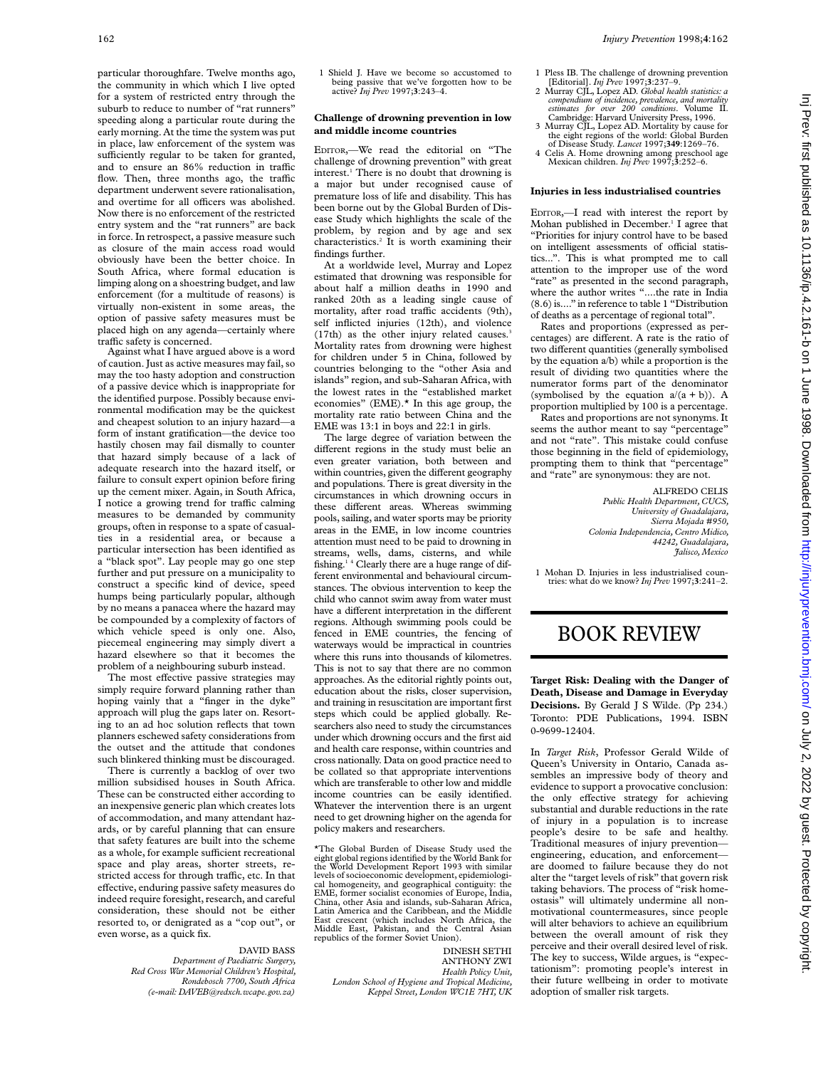particular thoroughfare. Twelve months ago, the community in which which I live opted for a system of restricted entry through the suburb to reduce to number of "rat runners" speeding along a particular route during the early morning. At the time the system was put in place, law enforcement of the system was sufficiently regular to be taken for granted, and to ensure an  $86\%$  reduction in traffic flow. Then, three months ago, the traffic department underwent severe rationalisation, and overtime for all officers was abolished. Now there is no enforcement of the restricted entry system and the "rat runners" are back in force. In retrospect, a passive measure such as closure of the main access road would obviously have been the better choice. In South Africa, where formal education is limping along on a shoestring budget, and law enforcement (for a multitude of reasons) is virtually non-existent in some areas, the option of passive safety measures must be placed high on any agenda—certainly where traffic safety is concerned.

Against what I have argued above is a word of caution. Just as active measures may fail, so may the too hasty adoption and construction of a passive device which is inappropriate for the identified purpose. Possibly because environmental modification may be the quickest and cheapest solution to an injury hazard—a form of instant gratification—the device too hastily chosen may fail dismally to counter that hazard simply because of a lack of adequate research into the hazard itself, or failure to consult expert opinion before firing up the cement mixer. Again, in South Africa, I notice a growing trend for traffic calming measures to be demanded by community groups, often in response to a spate of casualties in a residential area, or because a particular intersection has been identified as a "black spot". Lay people may go one step further and put pressure on a municipality to construct a specific kind of device, speed humps being particularly popular, although by no means a panacea where the hazard may be compounded by a complexity of factors of which vehicle speed is only one. Also, piecemeal engineering may simply divert a hazard elsewhere so that it becomes the problem of a neighbouring suburb instead.

The most effective passive strategies may simply require forward planning rather than hoping vainly that a "finger in the dyke" approach will plug the gaps later on. Resorting to an ad hoc solution reflects that town planners eschewed safety considerations from the outset and the attitude that condones such blinkered thinking must be discouraged.

There is currently a backlog of over two million subsidised houses in South Africa. These can be constructed either according to an inexpensive generic plan which creates lots of accommodation, and many attendant hazards, or by careful planning that can ensure that safety features are built into the scheme as a whole, for example sufficient recreational space and play areas, shorter streets, restricted access for through traffic, etc. In that effective, enduring passive safety measures do indeed require foresight, research, and careful consideration, these should not be either resorted to, or denigrated as a "cop out", or even worse, as a quick fix.

#### DAVID BASS

*Department of Paediatric Surgery, Red Cross War Memorial Children's Hospital, Rondebosch 7700, South Africa (e-mail: DAVEB@redxch.wcape.gov.za)*

1. Shield J. Have we become so accustomed to being passive that we've forgotten how to be active? *Inj Prev* 1997;**3**:243–4.

### **Challenge of drowning prevention in low and middle income countries**

EDITOR,—We read the editorial on "The challenge of drowning prevention" with great interest.<sup>1</sup> There is no doubt that drowning is a major but under recognised cause of premature loss of life and disability. This has been borne out by the Global Burden of Disease Study which highlights the scale of the problem, by region and by age and sex characteristics.2 It is worth examining their findings further.

At a worldwide level, Murray and Lopez estimated that drowning was responsible for about half a million deaths in 1990 and ranked 20th as a leading single cause of mortality, after road traffic accidents (9th), self inflicted injuries (12th), and violence (17th) as the other injury related causes.<sup>3</sup> Mortality rates from drowning were highest for children under 5 in China, followed by countries belonging to the "other Asia and islands" region, and sub-Saharan Africa, with the lowest rates in the "established market economies" (EME).\* In this age group, the mortality rate ratio between China and the EME was 13:1 in boys and 22:1 in girls.

The large degree of variation between the different regions in the study must belie an even greater variation, both between and within countries, given the different geography and populations. There is great diversity in the circumstances in which drowning occurs in these different areas. Whereas swimming pools, sailing, and water sports may be priority areas in the EME, in low income countries attention must need to be paid to drowning in streams, wells, dams, cisterns, and while fishing.1 4 Clearly there are a huge range of different environmental and behavioural circumstances. The obvious intervention to keep the child who cannot swim away from water must have a different interpretation in the different regions. Although swimming pools could be fenced in EME countries, the fencing of waterways would be impractical in countries where this runs into thousands of kilometres. This is not to say that there are no common approaches. As the editorial rightly points out, education about the risks, closer supervision, and training in resuscitation are important first steps which could be applied globally. Researchers also need to study the circumstances under which drowning occurs and the first aid and health care response, within countries and cross nationally. Data on good practice need to be collated so that appropriate interventions which are transferable to other low and middle income countries can be easily identified. Whatever the intervention there is an urgent need to get drowning higher on the agenda for policy makers and researchers.

\*The Global Burden of Disease Study used the eight global regions identified by the World Bank for the World Development Report 1993 with similar levels of socioeconomic development, epidemiological homogeneity, and geographical contiguity: the EME, former socialist economies of Europe, India, China, other Asia and islands, sub-Saharan Africa, Latin America and the Caribbean, and the Middle East crescent (which includes North Africa, the Middle East, Pakistan, and the Central Asian republics of the former Soviet Union).

DINESH SETHI ANTHONY ZWI *Health Policy Unit, London School of Hygiene and Tropical Medicine, Keppel Street, London WC1E 7HT, UK*

- 1 Pless IB. The challenge of drowning prevention [Editorial]. *Inj Prev* 1997;**3**:237–9.
- 2 Murray CJL, Lopez AD. *Global health statistics: a compendium of incidence, prevalence, and mortality estimates for over 200 conditions*. Volume II. Cambridge: Harvard University Press, 1996.
- 3 Murray CJL, Lopez AD. Mortality by cause for the eight regions of the world: Global Burden of Disease Study. *Lancet* 1997;**349**:1269–76.
- 4 Celis A. Home drowning among preschool age Mexican children. *Inj Prev* 1997;**3**:252–6.

#### **Injuries in less industrialised countries**

EDITOR,—I read with interest the report by Mohan published in December.<sup>1</sup> I agree that "Priorities for injury control have to be based on intelligent assessments of official statistics...". This is what prompted me to call attention to the improper use of the word "rate" as presented in the second paragraph, where the author writes "....the rate in India (8.6) is...." in reference to table 1 "Distribution of deaths as a percentage of regional total".

Rates and proportions (expressed as percentages) are different. A rate is the ratio of two different quantities (generally symbolised by the equation a/b) while a proportion is the result of dividing two quantities where the numerator forms part of the denominator (symbolised by the equation  $a/(a + b)$ ). A proportion multiplied by 100 is a percentage.

Rates and proportions are not synonyms. It seems the author meant to say "percentage" and not "rate". This mistake could confuse those beginning in the field of epidemiology, prompting them to think that "percentage" and "rate" are synonymous: they are not.

> ALFREDO CELIS *Public Health Department, CUCS, University of Guadalajara, Sierra Mojada #950, Colonia Independencia, Centro Midico, 44242, Guadalajara, Jalisco, Mexico*

1 Mohan D. Injuries in less industrialised countries: what do we know? *Inj Prev* 1997;**3**:241–2.

# BOOK REVIEW

**Target Risk: Dealing with the Danger of Death, Disease and Damage in Everyday Decisions.** By Gerald J S Wilde. (Pp 234.) Toronto: PDE Publications, 1994. ISBN 0-9699-12404.

In *Target Risk*, Professor Gerald Wilde of Queen's University in Ontario, Canada assembles an impressive body of theory and evidence to support a provocative conclusion: the only effective strategy for achieving substantial and durable reductions in the rate of injury in a population is to increase people's desire to be safe and healthy. Traditional measures of injury prevention engineering, education, and enforcement are doomed to failure because they do not alter the "target levels of risk" that govern risk taking behaviors. The process of "risk homeostasis" will ultimately undermine all nonmotivational countermeasures, since people will alter behaviors to achieve an equilibrium between the overall amount of risk they perceive and their overall desired level of risk. The key to success, Wilde argues, is "expectationism": promoting people's interest in their future wellbeing in order to motivate adoption of smaller risk targets.